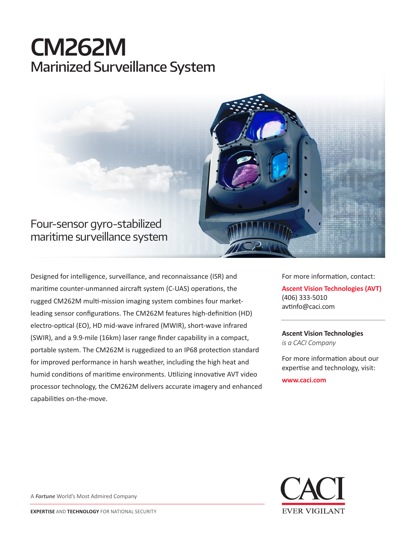# **CM262M** Marinized Surveillance System



# Four-sensor gyro-stabilized maritime surveillance system

Designed for intelligence, surveillance, and reconnaissance (ISR) and maritime counter-unmanned aircraft system (C-UAS) operations, the rugged CM262M multi-mission imaging system combines four marketleading sensor configurations. The CM262M features high-definition (HD) electro-optical (EO), HD mid-wave infrared (MWIR), short-wave infrared (SWIR), and a 9.9-mile (16km) laser range finder capability in a compact, portable system. The CM262M is ruggedized to an IP68 protection standard for improved performance in harsh weather, including the high heat and humid conditions of maritime environments. Utilizing innovative AVT video processor technology, the CM262M delivers accurate imagery and enhanced capabilities on-the-move.

For more information, contact: **Ascent Vision Technologies (AVT)** (406) 333-5010 avtinfo@caci.com

#### **Ascent Vision Technologies** *is a CACI Company*

For more information about our expertise and technology, visit:

**www.caci.com**



A *Fortune* World's Most Admired Company